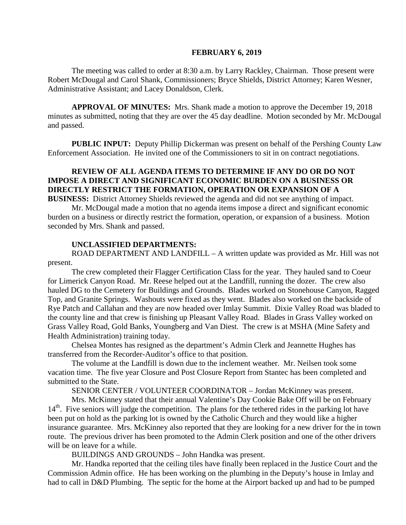#### **FEBRUARY 6, 2019**

The meeting was called to order at 8:30 a.m. by Larry Rackley, Chairman. Those present were Robert McDougal and Carol Shank, Commissioners; Bryce Shields, District Attorney; Karen Wesner, Administrative Assistant; and Lacey Donaldson, Clerk.

**APPROVAL OF MINUTES:** Mrs. Shank made a motion to approve the December 19, 2018 minutes as submitted, noting that they are over the 45 day deadline. Motion seconded by Mr. McDougal and passed.

 **PUBLIC INPUT:** Deputy Phillip Dickerman was present on behalf of the Pershing County Law Enforcement Association. He invited one of the Commissioners to sit in on contract negotiations.

# **REVIEW OF ALL AGENDA ITEMS TO DETERMINE IF ANY DO OR DO NOT IMPOSE A DIRECT AND SIGNIFICANT ECONOMIC BURDEN ON A BUSINESS OR DIRECTLY RESTRICT THE FORMATION, OPERATION OR EXPANSION OF A BUSINESS:** District Attorney Shields reviewed the agenda and did not see anything of impact.

Mr. McDougal made a motion that no agenda items impose a direct and significant economic burden on a business or directly restrict the formation, operation, or expansion of a business. Motion seconded by Mrs. Shank and passed.

### **UNCLASSIFIED DEPARTMENTS:**

ROAD DEPARTMENT AND LANDFILL – A written update was provided as Mr. Hill was not present.

The crew completed their Flagger Certification Class for the year. They hauled sand to Coeur for Limerick Canyon Road. Mr. Reese helped out at the Landfill, running the dozer. The crew also hauled DG to the Cemetery for Buildings and Grounds. Blades worked on Stonehouse Canyon, Ragged Top, and Granite Springs. Washouts were fixed as they went. Blades also worked on the backside of Rye Patch and Callahan and they are now headed over Imlay Summit. Dixie Valley Road was bladed to the county line and that crew is finishing up Pleasant Valley Road. Blades in Grass Valley worked on Grass Valley Road, Gold Banks, Youngberg and Van Diest. The crew is at MSHA (Mine Safety and Health Administration) training today.

Chelsea Montes has resigned as the department's Admin Clerk and Jeannette Hughes has transferred from the Recorder-Auditor's office to that position.

The volume at the Landfill is down due to the inclement weather. Mr. Neilsen took some vacation time. The five year Closure and Post Closure Report from Stantec has been completed and submitted to the State.

SENIOR CENTER / VOLUNTEER COORDINATOR – Jordan McKinney was present.

Mrs. McKinney stated that their annual Valentine's Day Cookie Bake Off will be on February  $14<sup>th</sup>$ . Five seniors will judge the competition. The plans for the tethered rides in the parking lot have been put on hold as the parking lot is owned by the Catholic Church and they would like a higher insurance guarantee. Mrs. McKinney also reported that they are looking for a new driver for the in town route. The previous driver has been promoted to the Admin Clerk position and one of the other drivers will be on leave for a while.

BUILDINGS AND GROUNDS – John Handka was present.

Mr. Handka reported that the ceiling tiles have finally been replaced in the Justice Court and the Commission Admin office. He has been working on the plumbing in the Deputy's house in Imlay and had to call in D&D Plumbing. The septic for the home at the Airport backed up and had to be pumped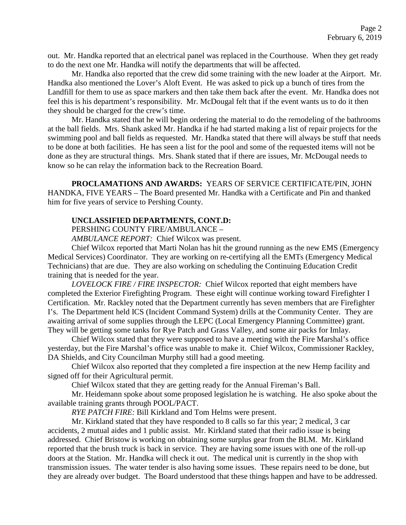out. Mr. Handka reported that an electrical panel was replaced in the Courthouse. When they get ready to do the next one Mr. Handka will notify the departments that will be affected.

Mr. Handka also reported that the crew did some training with the new loader at the Airport. Mr. Handka also mentioned the Lover's Aloft Event. He was asked to pick up a bunch of tires from the Landfill for them to use as space markers and then take them back after the event. Mr. Handka does not feel this is his department's responsibility. Mr. McDougal felt that if the event wants us to do it then they should be charged for the crew's time.

Mr. Handka stated that he will begin ordering the material to do the remodeling of the bathrooms at the ball fields. Mrs. Shank asked Mr. Handka if he had started making a list of repair projects for the swimming pool and ball fields as requested. Mr. Handka stated that there will always be stuff that needs to be done at both facilities. He has seen a list for the pool and some of the requested items will not be done as they are structural things. Mrs. Shank stated that if there are issues, Mr. McDougal needs to know so he can relay the information back to the Recreation Board.

**PROCLAMATIONS AND AWARDS:** YEARS OF SERVICE CERTIFICATE/PIN, JOHN HANDKA, FIVE YEARS – The Board presented Mr. Handka with a Certificate and Pin and thanked him for five years of service to Pershing County.

# **UNCLASSIFIED DEPARTMENTS, CONT.D:**

PERSHING COUNTY FIRE/AMBULANCE –

*AMBULANCE REPORT:* Chief Wilcox was present.

Chief Wilcox reported that Marti Nolan has hit the ground running as the new EMS (Emergency Medical Services) Coordinator. They are working on re-certifying all the EMTs (Emergency Medical Technicians) that are due. They are also working on scheduling the Continuing Education Credit training that is needed for the year.

*LOVELOCK FIRE / FIRE INSPECTOR:* Chief Wilcox reported that eight members have completed the Exterior Firefighting Program. These eight will continue working toward Firefighter I Certification. Mr. Rackley noted that the Department currently has seven members that are Firefighter I's. The Department held ICS (Incident Command System) drills at the Community Center. They are awaiting arrival of some supplies through the LEPC (Local Emergency Planning Committee) grant. They will be getting some tanks for Rye Patch and Grass Valley, and some air packs for Imlay.

Chief Wilcox stated that they were supposed to have a meeting with the Fire Marshal's office yesterday, but the Fire Marshal's office was unable to make it. Chief Wilcox, Commissioner Rackley, DA Shields, and City Councilman Murphy still had a good meeting.

Chief Wilcox also reported that they completed a fire inspection at the new Hemp facility and signed off for their Agricultural permit.

Chief Wilcox stated that they are getting ready for the Annual Fireman's Ball.

Mr. Heidemann spoke about some proposed legislation he is watching. He also spoke about the available training grants through POOL/PACT.

*RYE PATCH FIRE:* Bill Kirkland and Tom Helms were present.

Mr. Kirkland stated that they have responded to 8 calls so far this year; 2 medical, 3 car accidents, 2 mutual aides and 1 public assist. Mr. Kirkland stated that their radio issue is being addressed. Chief Bristow is working on obtaining some surplus gear from the BLM. Mr. Kirkland reported that the brush truck is back in service. They are having some issues with one of the roll-up doors at the Station. Mr. Handka will check it out. The medical unit is currently in the shop with transmission issues. The water tender is also having some issues. These repairs need to be done, but they are already over budget. The Board understood that these things happen and have to be addressed.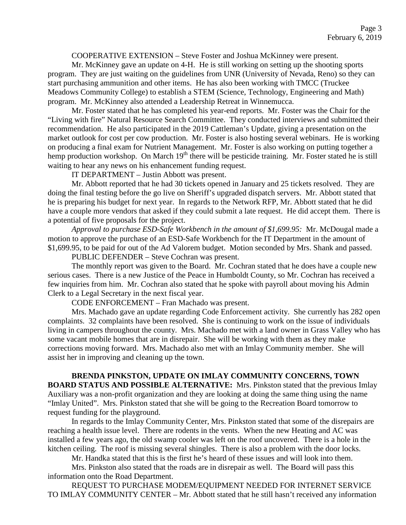COOPERATIVE EXTENSION – Steve Foster and Joshua McKinney were present.

Mr. McKinney gave an update on 4-H. He is still working on setting up the shooting sports program. They are just waiting on the guidelines from UNR (University of Nevada, Reno) so they can start purchasing ammunition and other items. He has also been working with TMCC (Truckee Meadows Community College) to establish a STEM (Science, Technology, Engineering and Math) program. Mr. McKinney also attended a Leadership Retreat in Winnemucca.

Mr. Foster stated that he has completed his year-end reports. Mr. Foster was the Chair for the "Living with fire" Natural Resource Search Committee. They conducted interviews and submitted their recommendation. He also participated in the 2019 Cattleman's Update, giving a presentation on the market outlook for cost per cow production. Mr. Foster is also hosting several webinars. He is working on producing a final exam for Nutrient Management. Mr. Foster is also working on putting together a hemp production workshop. On March 19<sup>th</sup> there will be pesticide training. Mr. Foster stated he is still waiting to hear any news on his enhancement funding request.

IT DEPARTMENT – Justin Abbott was present.

Mr. Abbott reported that he had 30 tickets opened in January and 25 tickets resolved. They are doing the final testing before the go live on Sheriff's upgraded dispatch servers. Mr. Abbott stated that he is preparing his budget for next year. In regards to the Network RFP, Mr. Abbott stated that he did have a couple more vendors that asked if they could submit a late request. He did accept them. There is a potential of five proposals for the project.

*Approval to purchase ESD-Safe Workbench in the amount of \$1,699.95:* Mr. McDougal made a motion to approve the purchase of an ESD-Safe Workbench for the IT Department in the amount of \$1,699.95, to be paid for out of the Ad Valorem budget. Motion seconded by Mrs. Shank and passed.

PUBLIC DEFENDER – Steve Cochran was present.

The monthly report was given to the Board. Mr. Cochran stated that he does have a couple new serious cases. There is a new Justice of the Peace in Humboldt County, so Mr. Cochran has received a few inquiries from him. Mr. Cochran also stated that he spoke with payroll about moving his Admin Clerk to a Legal Secretary in the next fiscal year.

CODE ENFORCEMENT – Fran Machado was present.

Mrs. Machado gave an update regarding Code Enforcement activity. She currently has 282 open complaints. 32 complaints have been resolved. She is continuing to work on the issue of individuals living in campers throughout the county. Mrs. Machado met with a land owner in Grass Valley who has some vacant mobile homes that are in disrepair. She will be working with them as they make corrections moving forward. Mrs. Machado also met with an Imlay Community member. She will assist her in improving and cleaning up the town.

**BRENDA PINKSTON, UPDATE ON IMLAY COMMUNITY CONCERNS, TOWN BOARD STATUS AND POSSIBLE ALTERNATIVE:** Mrs. Pinkston stated that the previous Imlay Auxiliary was a non-profit organization and they are looking at doing the same thing using the name "Imlay United". Mrs. Pinkston stated that she will be going to the Recreation Board tomorrow to request funding for the playground.

In regards to the Imlay Community Center, Mrs. Pinkston stated that some of the disrepairs are reaching a health issue level. There are rodents in the vents. When the new Heating and AC was installed a few years ago, the old swamp cooler was left on the roof uncovered. There is a hole in the kitchen ceiling. The roof is missing several shingles. There is also a problem with the door locks.

Mr. Handka stated that this is the first he's heard of these issues and will look into them.

Mrs. Pinkston also stated that the roads are in disrepair as well. The Board will pass this information onto the Road Department.

REQUEST TO PURCHASE MODEM/EQUIPMENT NEEDED FOR INTERNET SERVICE TO IMLAY COMMUNITY CENTER – Mr. Abbott stated that he still hasn't received any information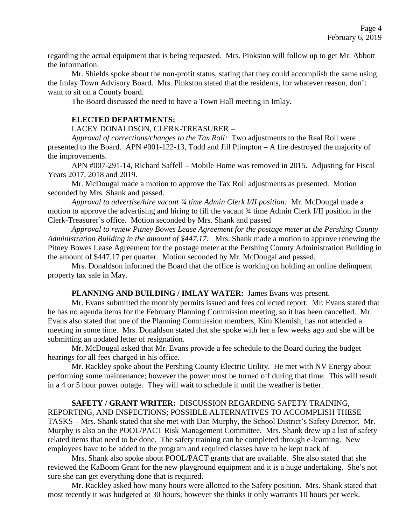regarding the actual equipment that is being requested. Mrs. Pinkston will follow up to get Mr. Abbott the information.

Mr. Shields spoke about the non-profit status, stating that they could accomplish the same using the Imlay Town Advisory Board. Mrs. Pinkston stated that the residents, for whatever reason, don't want to sit on a County board.

The Board discussed the need to have a Town Hall meeting in Imlay.

### **ELECTED DEPARTMENTS:**

### LACEY DONALDSON, CLERK-TREASURER –

*Approval of corrections/changes to the Tax Roll:* Two adjustments to the Real Roll were presented to the Board. APN #001-122-13, Todd and Jill Plimpton – A fire destroyed the majority of the improvements.

APN #007-291-14, Richard Saffell – Mobile Home was removed in 2015. Adjusting for Fiscal Years 2017, 2018 and 2019.

Mr. McDougal made a motion to approve the Tax Roll adjustments as presented. Motion seconded by Mrs. Shank and passed.

*Approval to advertise/hire vacant ¾ time Admin Clerk I/II position:* Mr. McDougal made a motion to approve the advertising and hiring to fill the vacant ¾ time Admin Clerk I/II position in the Clerk-Treasurer's office. Motion seconded by Mrs. Shank and passed

*Approval to renew Pitney Bowes Lease Agreement for the postage meter at the Pershing County Administration Building in the amount of \$447.17:* Mrs. Shank made a motion to approve renewing the Pitney Bowes Lease Agreement for the postage meter at the Pershing County Administration Building in the amount of \$447.17 per quarter. Motion seconded by Mr. McDougal and passed.

Mrs. Donaldson informed the Board that the office is working on holding an online delinquent property tax sale in May.

### **PLANNING AND BUILDING / IMLAY WATER:** James Evans was present.

Mr. Evans submitted the monthly permits issued and fees collected report. Mr. Evans stated that he has no agenda items for the February Planning Commission meeting, so it has been cancelled. Mr. Evans also stated that one of the Planning Commission members, Kim Klemish, has not attended a meeting in some time. Mrs. Donaldson stated that she spoke with her a few weeks ago and she will be submitting an updated letter of resignation.

Mr. McDougal asked that Mr. Evans provide a fee schedule to the Board during the budget hearings for all fees charged in his office.

Mr. Rackley spoke about the Pershing County Electric Utility. He met with NV Energy about performing some maintenance; however the power must be turned off during that time. This will result in a 4 or 5 hour power outage. They will wait to schedule it until the weather is better.

**SAFETY / GRANT WRITER:** DISCUSSION REGARDING SAFETY TRAINING, REPORTING, AND INSPECTIONS; POSSIBLE ALTERNATIVES TO ACCOMPLISH THESE TASKS – Mrs. Shank stated that she met with Dan Murphy, the School District's Safety Director. Mr. Murphy is also on the POOL/PACT Risk Management Committee. Mrs. Shank drew up a list of safety related items that need to be done. The safety training can be completed through e-learning. New employees have to be added to the program and required classes have to be kept track of.

Mrs. Shank also spoke about POOL/PACT grants that are available. She also stated that she reviewed the KaBoom Grant for the new playground equipment and it is a huge undertaking. She's not sure she can get everything done that is required.

Mr. Rackley asked how many hours were allotted to the Safety position. Mrs. Shank stated that most recently it was budgeted at 30 hours; however she thinks it only warrants 10 hours per week.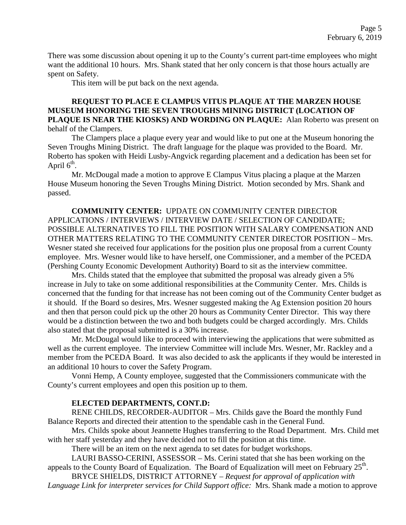There was some discussion about opening it up to the County's current part-time employees who might want the additional 10 hours. Mrs. Shank stated that her only concern is that those hours actually are spent on Safety.

This item will be put back on the next agenda.

# **REQUEST TO PLACE E CLAMPUS VITUS PLAQUE AT THE MARZEN HOUSE MUSEUM HONORING THE SEVEN TROUGHS MINING DISTRICT (LOCATION OF PLAQUE IS NEAR THE KIOSKS) AND WORDING ON PLAQUE:** Alan Roberto was present on behalf of the Clampers.

The Clampers place a plaque every year and would like to put one at the Museum honoring the Seven Troughs Mining District. The draft language for the plaque was provided to the Board. Mr. Roberto has spoken with Heidi Lusby-Angvick regarding placement and a dedication has been set for April  $6<sup>th</sup>$ .

Mr. McDougal made a motion to approve E Clampus Vitus placing a plaque at the Marzen House Museum honoring the Seven Troughs Mining District. Motion seconded by Mrs. Shank and passed.

**COMMUNITY CENTER:** UPDATE ON COMMUNITY CENTER DIRECTOR APPLICATIONS / INTERVIEWS / INTERVIEW DATE / SELECTION OF CANDIDATE; POSSIBLE ALTERNATIVES TO FILL THE POSITION WITH SALARY COMPENSATION AND OTHER MATTERS RELATING TO THE COMMUNITY CENTER DIRECTOR POSITION – Mrs. Wesner stated she received four applications for the position plus one proposal from a current County employee. Mrs. Wesner would like to have herself, one Commissioner, and a member of the PCEDA (Pershing County Economic Development Authority) Board to sit as the interview committee.

Mrs. Childs stated that the employee that submitted the proposal was already given a 5% increase in July to take on some additional responsibilities at the Community Center. Mrs. Childs is concerned that the funding for that increase has not been coming out of the Community Center budget as it should. If the Board so desires, Mrs. Wesner suggested making the Ag Extension position 20 hours and then that person could pick up the other 20 hours as Community Center Director. This way there would be a distinction between the two and both budgets could be charged accordingly. Mrs. Childs also stated that the proposal submitted is a 30% increase.

Mr. McDougal would like to proceed with interviewing the applications that were submitted as well as the current employee. The interview Committee will include Mrs. Wesner, Mr. Rackley and a member from the PCEDA Board. It was also decided to ask the applicants if they would be interested in an additional 10 hours to cover the Safety Program.

Vonni Hemp, A County employee, suggested that the Commissioners communicate with the County's current employees and open this position up to them.

### **ELECTED DEPARTMENTS, CONT.D:**

RENE CHILDS, RECORDER-AUDITOR – Mrs. Childs gave the Board the monthly Fund Balance Reports and directed their attention to the spendable cash in the General Fund.

Mrs. Childs spoke about Jeannette Hughes transferring to the Road Department. Mrs. Child met with her staff yesterday and they have decided not to fill the position at this time.

There will be an item on the next agenda to set dates for budget workshops.

LAURI BASSO-CERINI, ASSESSOR – Ms. Cerini stated that she has been working on the appeals to the County Board of Equalization. The Board of Equalization will meet on February  $25<sup>th</sup>$ .

BRYCE SHIELDS, DISTRICT ATTORNEY – *Request for approval of application with Language Link for interpreter services for Child Support office:* Mrs. Shank made a motion to approve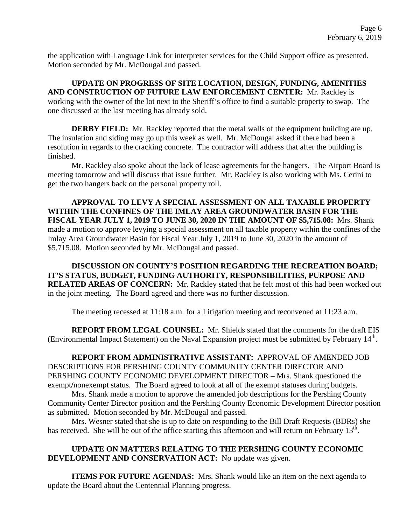the application with Language Link for interpreter services for the Child Support office as presented. Motion seconded by Mr. McDougal and passed.

**UPDATE ON PROGRESS OF SITE LOCATION, DESIGN, FUNDING, AMENITIES AND CONSTRUCTION OF FUTURE LAW ENFORCEMENT CENTER:** Mr. Rackley is working with the owner of the lot next to the Sheriff's office to find a suitable property to swap. The one discussed at the last meeting has already sold.

**DERBY FIELD:** Mr. Rackley reported that the metal walls of the equipment building are up. The insulation and siding may go up this week as well. Mr. McDougal asked if there had been a resolution in regards to the cracking concrete. The contractor will address that after the building is finished.

Mr. Rackley also spoke about the lack of lease agreements for the hangers. The Airport Board is meeting tomorrow and will discuss that issue further. Mr. Rackley is also working with Ms. Cerini to get the two hangers back on the personal property roll.

**APPROVAL TO LEVY A SPECIAL ASSESSMENT ON ALL TAXABLE PROPERTY WITHIN THE CONFINES OF THE IMLAY AREA GROUNDWATER BASIN FOR THE FISCAL YEAR JULY 1, 2019 TO JUNE 30, 2020 IN THE AMOUNT OF \$5,715.08:** Mrs. Shank made a motion to approve levying a special assessment on all taxable property within the confines of the Imlay Area Groundwater Basin for Fiscal Year July 1, 2019 to June 30, 2020 in the amount of \$5,715.08. Motion seconded by Mr. McDougal and passed.

**DISCUSSION ON COUNTY'S POSITION REGARDING THE RECREATION BOARD; IT'S STATUS, BUDGET, FUNDING AUTHORITY, RESPONSIBILITIES, PURPOSE AND RELATED AREAS OF CONCERN:** Mr. Rackley stated that he felt most of this had been worked out in the joint meeting. The Board agreed and there was no further discussion.

The meeting recessed at 11:18 a.m. for a Litigation meeting and reconvened at 11:23 a.m.

**REPORT FROM LEGAL COUNSEL:** Mr. Shields stated that the comments for the draft EIS (Environmental Impact Statement) on the Naval Expansion project must be submitted by February 14<sup>th</sup>.

**REPORT FROM ADMINISTRATIVE ASSISTANT:** APPROVAL OF AMENDED JOB DESCRIPTIONS FOR PERSHING COUNTY COMMUNITY CENTER DIRECTOR AND PERSHING COUNTY ECONOMIC DEVELOPMENT DIRECTOR – Mrs. Shank questioned the exempt**/**nonexempt status. The Board agreed to look at all of the exempt statuses during budgets.

Mrs. Shank made a motion to approve the amended job descriptions for the Pershing County Community Center Director position and the Pershing County Economic Development Director position as submitted. Motion seconded by Mr. McDougal and passed.

Mrs. Wesner stated that she is up to date on responding to the Bill Draft Requests (BDRs) she has received. She will be out of the office starting this afternoon and will return on February  $13<sup>th</sup>$ .

# **UPDATE ON MATTERS RELATING TO THE PERSHING COUNTY ECONOMIC DEVELOPMENT AND CONSERVATION ACT:** No update was given.

**ITEMS FOR FUTURE AGENDAS:** Mrs. Shank would like an item on the next agenda to update the Board about the Centennial Planning progress.